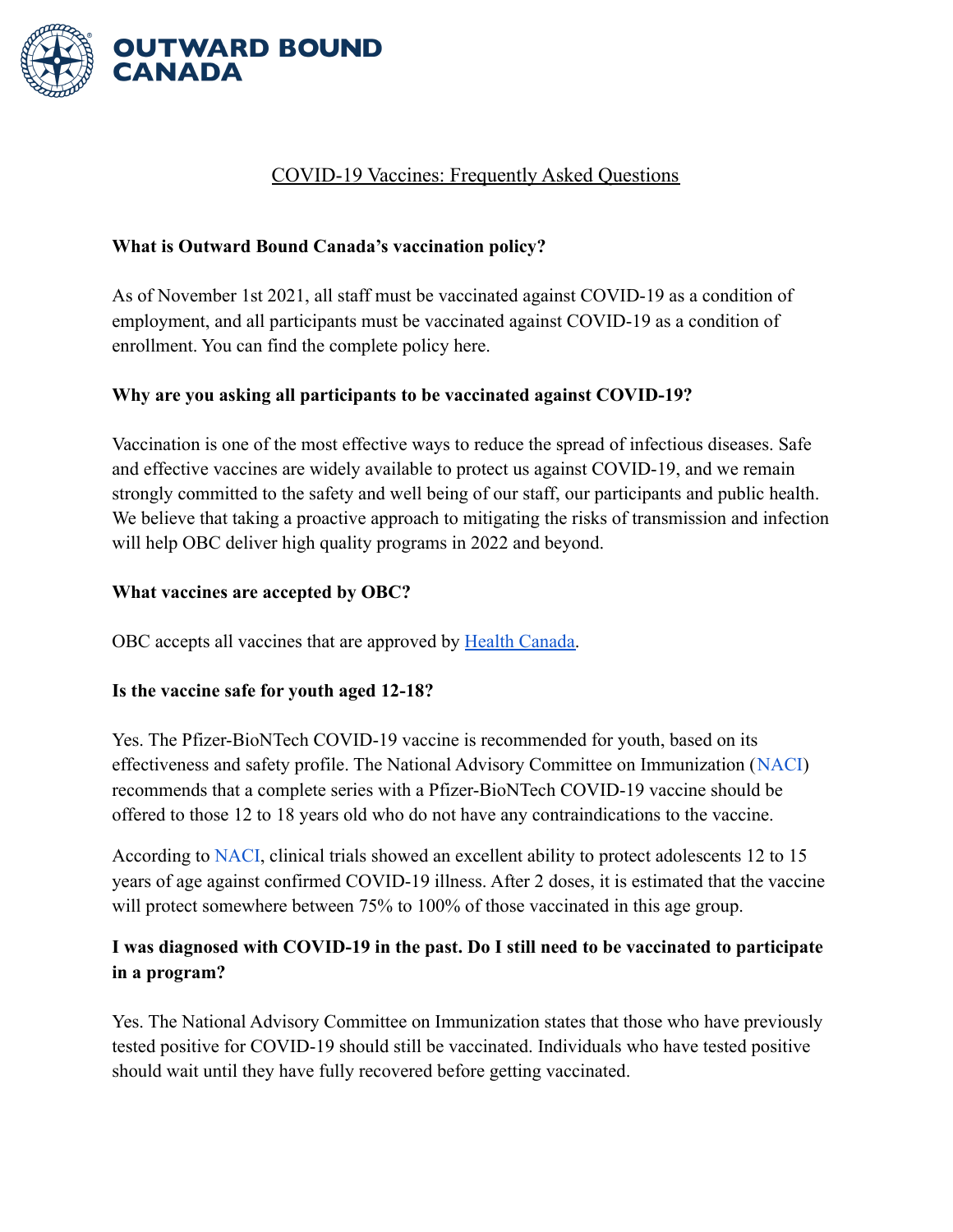

# COVID-19 Vaccines: Frequently Asked Questions

## **What is Outward Bound Canada's vaccination policy?**

As of November 1st 2021, all staff must be vaccinated against COVID-19 as a condition of employment, and all participants must be vaccinated against COVID-19 as a condition of enrollment. You can find the complete policy here.

### **Why are you asking all participants to be vaccinated against COVID-19?**

Vaccination is one of the most effective ways to reduce the spread of infectious diseases. Safe and effective vaccines are widely available to protect us against COVID-19, and we remain strongly committed to the safety and well being of our staff, our participants and public health. We believe that taking a proactive approach to mitigating the risks of transmission and infection will help OBC deliver high quality programs in 2022 and beyond.

### **What vaccines are accepted by OBC?**

OBC accepts all vaccines that are approved by Health [Canada.](https://www.canada.ca/en/health-canada/services/drugs-health-products/covid19-industry/drugs-vaccines-treatments/vaccines.html)

### **Is the vaccine safe for youth aged 12-18?**

Yes. The Pfizer-BioNTech COVID-19 vaccine is recommended for youth, based on its effectiveness and safety profile. The National Advisory Committee on Immunization ([NACI\)](https://www.canada.ca/en/public-health/services/immunization/national-advisory-committee-on-immunization-naci/recommendation-use-pfizer-biontech-covid-19-vaccine-adolescents.html) recommends that a complete series with a Pfizer-BioNTech COVID-19 vaccine should be offered to those 12 to 18 years old who do not have any contraindications to the vaccine.

According to [NACI](https://www.canada.ca/en/public-health/services/immunization/national-advisory-committee-on-immunization-naci/recommendations-use-covid-19-vaccines/summary-updated-statement-may-18-2021.html), clinical trials showed an excellent ability to protect adolescents 12 to 15 years of age against confirmed COVID-19 illness. After 2 doses, it is estimated that the vaccine will protect somewhere between 75% to 100% of those vaccinated in this age group.

# **I was diagnosed with COVID-19 in the past. Do I still need to be vaccinated to participate in a program?**

Yes. The National Advisory Committee on Immunization states that those who have previously tested positive for COVID-19 should still be vaccinated. Individuals who have tested positive should wait until they have fully recovered before getting vaccinated.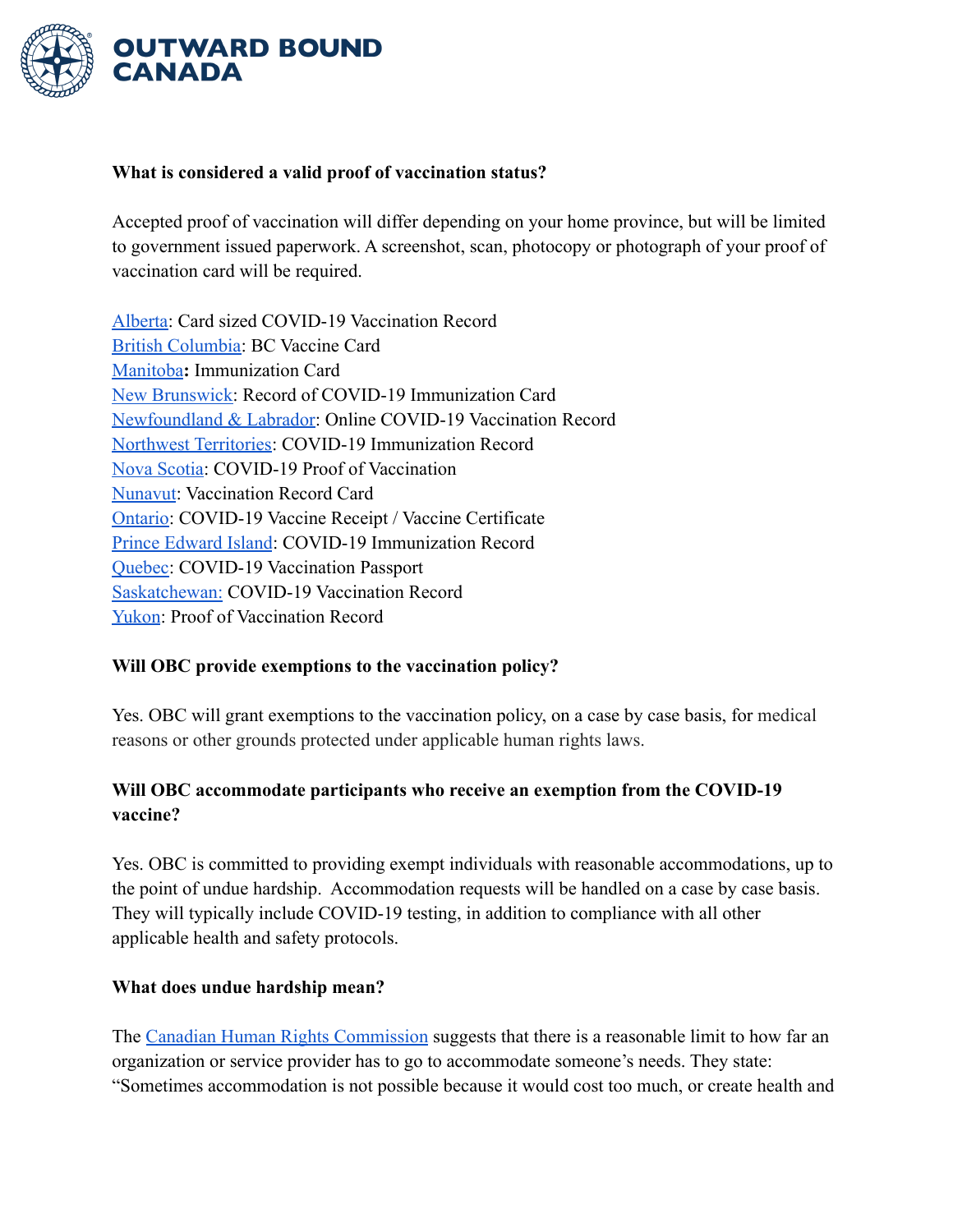

#### **What is considered a valid proof of vaccination status?**

Accepted proof of vaccination will differ depending on your home province, but will be limited to government issued paperwork. A screenshot, scan, photocopy or photograph of your proof of vaccination card will be required.

[Alberta:](https://www.albertavaccinerecord.ca/#/) Card sized COVID-19 Vaccination Record [British Columbia](https://www2.gov.bc.ca/vaccinecard.html): BC Vaccine Card [Manitoba](https://manitoba.ca/covid19/vaccine/immunizationrecord/index.html)**:** Immunization Card [New Brunswick:](https://www2.gnb.ca/content/gnb/en/corporate/promo/covid-19/nb-vaccine.html#9) Record of COVID-19 Immunization Card [Newfoundland & Labrador:](https://www.gov.nl.ca/covid-19/vaccine/online-vaccination-records/) Online COVID-19 Vaccination Record [Northwest Territories:](https://www.nthssa.ca/en/services/coronavirus-disease-covid-19-updates/covid-19-vaccination-record-requests) COVID-19 Immunization Record [Nova Scotia:](https://novascotia.ca/coronavirus/vaccine/#proof-of-vaccination) COVID-19 Proof of Vaccination [Nunavut](https://www.gov.nu.ca/health/information/covid-19-vaccination): Vaccination Record Card [Ontario:](https://covid-19.ontario.ca/covid-19-vaccine-booking-support#proof-of-vaccination) COVID-19 Vaccine Receipt / Vaccine Certificate [Prince Edward Island](https://www.princeedwardisland.ca/en/information/health-and-wellness/covid-19-immunization-record): COVID-19 Immunization Record [Quebec:](https://www.quebec.ca/en/health/health-issues/a-z/2019-coronavirus/progress-of-the-covid-19-vaccination/covid-19-vaccination-passport#c111323) COVID-19 Vaccination Passport [Saskatchewan:](https://www.saskatchewan.ca/government/health-care-administration-and-provider-resources/treatment-procedures-and-guidelines/emerging-public-health-issues/2019-novel-coronavirus/covid-19-vaccine/proof-of-vaccination) COVID-19 Vaccination Record [Yukon](https://yukon.ca/vaccine-proof): Proof of Vaccination Record

### **Will OBC provide exemptions to the vaccination policy?**

Yes. OBC will grant exemptions to the vaccination policy, on a case by case basis, for medical reasons or other grounds protected under applicable human rights laws.

# **Will OBC accommodate participants who receive an exemption from the COVID-19 vaccine?**

Yes. OBC is committed to providing exempt individuals with reasonable accommodations, up to the point of undue hardship. Accommodation requests will be handled on a case by case basis. They will typically include COVID-19 testing, in addition to compliance with all other applicable health and safety protocols.

#### **What does undue hardship mean?**

The [Canadian Human Rights Commission](https://www.chrc-ccdp.gc.ca/en/about-human-rights/what-the-duty-accommodate) suggests that there is a reasonable limit to how far an organization or service provider has to go to accommodate someone's needs. They state: "Sometimes accommodation is not possible because it would cost too much, or create health and